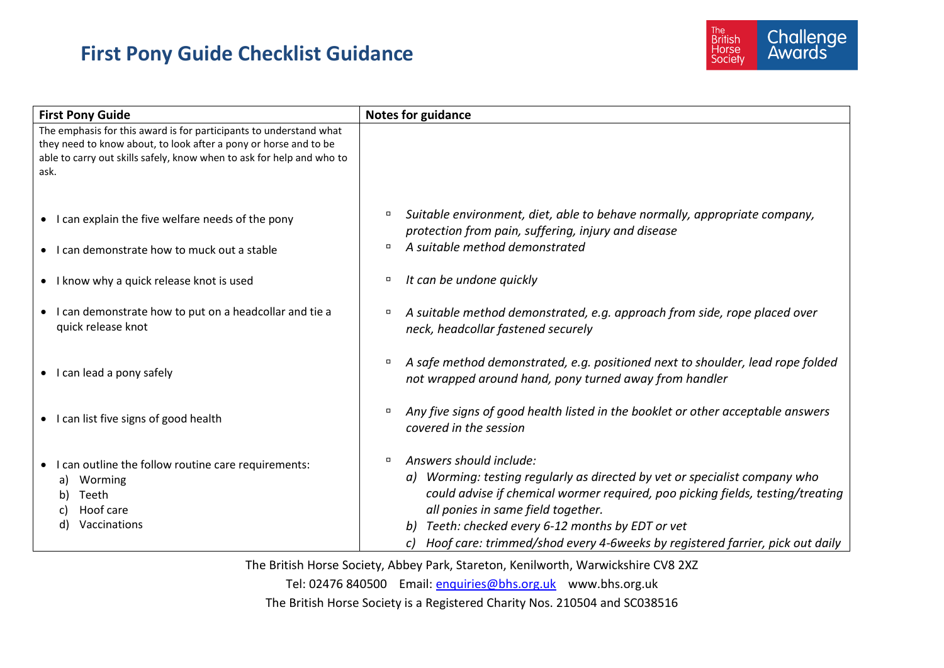## **First Pony Guide Checklist Guidance**



| <b>First Pony Guide</b>                                                                                                                                                                                                 | <b>Notes for guidance</b>                                                                                                                                                                                                                                                                                                                                                    |
|-------------------------------------------------------------------------------------------------------------------------------------------------------------------------------------------------------------------------|------------------------------------------------------------------------------------------------------------------------------------------------------------------------------------------------------------------------------------------------------------------------------------------------------------------------------------------------------------------------------|
| The emphasis for this award is for participants to understand what<br>they need to know about, to look after a pony or horse and to be<br>able to carry out skills safely, know when to ask for help and who to<br>ask. |                                                                                                                                                                                                                                                                                                                                                                              |
| • I can explain the five welfare needs of the pony                                                                                                                                                                      | Suitable environment, diet, able to behave normally, appropriate company,<br>о<br>protection from pain, suffering, injury and disease                                                                                                                                                                                                                                        |
| • I can demonstrate how to muck out a stable                                                                                                                                                                            | A suitable method demonstrated<br>$\Box$                                                                                                                                                                                                                                                                                                                                     |
| • I know why a quick release knot is used                                                                                                                                                                               | It can be undone quickly<br>$\Box$                                                                                                                                                                                                                                                                                                                                           |
| • I can demonstrate how to put on a headcollar and tie a<br>quick release knot                                                                                                                                          | A suitable method demonstrated, e.g. approach from side, rope placed over<br>$\Box$<br>neck, headcollar fastened securely                                                                                                                                                                                                                                                    |
| • I can lead a pony safely                                                                                                                                                                                              | A safe method demonstrated, e.g. positioned next to shoulder, lead rope folded<br>о<br>not wrapped around hand, pony turned away from handler                                                                                                                                                                                                                                |
| • I can list five signs of good health                                                                                                                                                                                  | Any five signs of good health listed in the booklet or other acceptable answers<br>$\Box$<br>covered in the session                                                                                                                                                                                                                                                          |
| I can outline the follow routine care requirements:<br>$\bullet$<br>Worming<br>a)<br>Teeth<br>b١<br>Hoof care<br>Vaccinations<br>d)                                                                                     | Answers should include:<br>$\Box$<br>a) Worming: testing regularly as directed by vet or specialist company who<br>could advise if chemical wormer required, poo picking fields, testing/treating<br>all ponies in same field together.<br>b) Teeth: checked every 6-12 months by EDT or vet<br>Hoof care: trimmed/shod every 4-6weeks by registered farrier, pick out daily |

The British Horse Society, Abbey Park, Stareton, Kenilworth, Warwickshire CV8 2XZ

Tel: 02476 840500 Email: [enquiries@bhs.org.uk](mailto:enquiries@bhs.org.uk) www.bhs.org.uk

The British Horse Society is a Registered Charity Nos. 210504 and SC038516